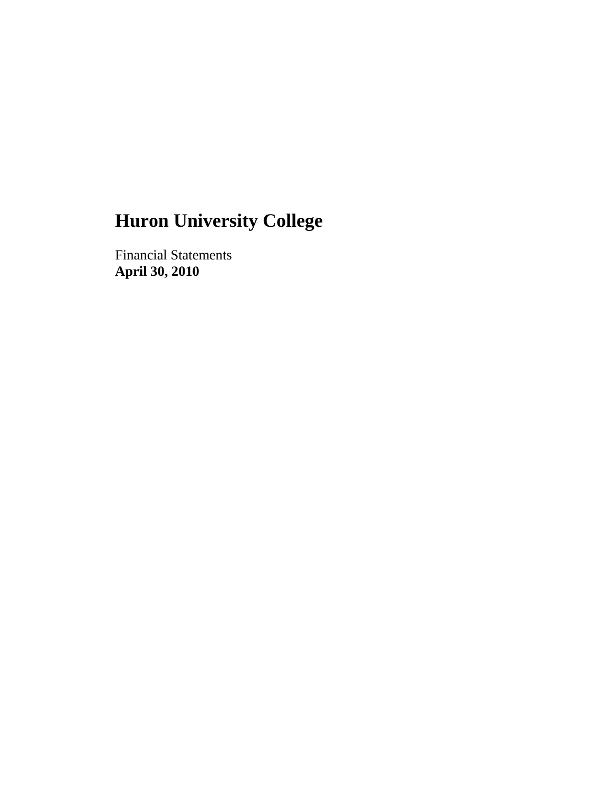Financial Statements **April 30, 2010**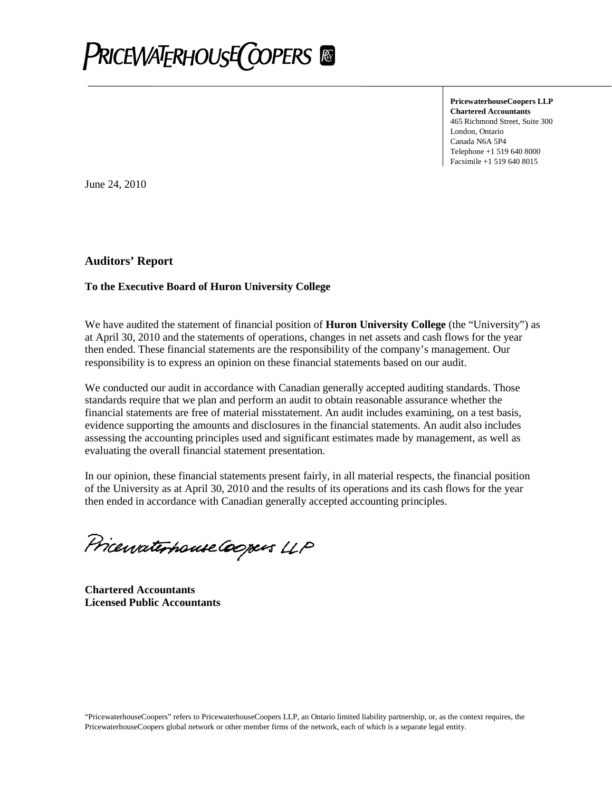

**PricewaterhouseCoopers LLP Chartered Accountants** 465 Richmond Street, Suite 300 London, Ontario Canada N6A 5P4 Telephone +1 519 640 8000 Facsimile +1 519 640 8015

June 24, 2010

#### **Auditors' Report**

#### **To the Executive Board of Huron University College**

We have audited the statement of financial position of **Huron University College** (the "University") as at April 30, 2010 and the statements of operations, changes in net assets and cash flows for the year then ended. These financial statements are the responsibility of the company's management. Our responsibility is to express an opinion on these financial statements based on our audit.

We conducted our audit in accordance with Canadian generally accepted auditing standards. Those standards require that we plan and perform an audit to obtain reasonable assurance whether the financial statements are free of material misstatement. An audit includes examining, on a test basis, evidence supporting the amounts and disclosures in the financial statements. An audit also includes assessing the accounting principles used and significant estimates made by management, as well as evaluating the overall financial statement presentation.

In our opinion, these financial statements present fairly, in all material respects, the financial position of the University as at April 30, 2010 and the results of its operations and its cash flows for the year then ended in accordance with Canadian generally accepted accounting principles.

Pricewaterhouse Coopers LLP

**Chartered Accountants Licensed Public Accountants**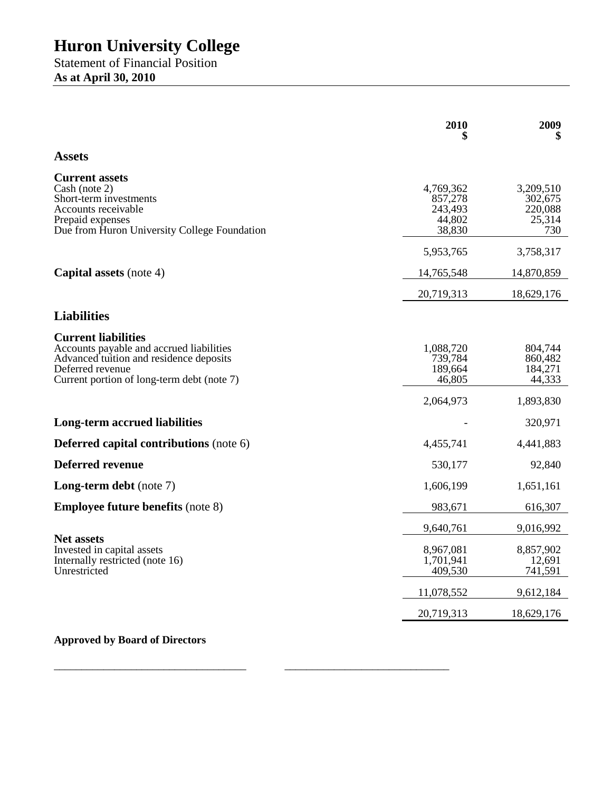Statement of Financial Position **As at April 30, 2010**

|                                                                                                                                                                                     | 2010                                                | 2009                                             |
|-------------------------------------------------------------------------------------------------------------------------------------------------------------------------------------|-----------------------------------------------------|--------------------------------------------------|
| <b>Assets</b>                                                                                                                                                                       |                                                     |                                                  |
| <b>Current assets</b><br>Cash (note 2)<br>Short-term investments<br>Accounts receivable<br>Prepaid expenses<br>Due from Huron University College Foundation                         | 4,769,362<br>857,278<br>243,493<br>44,802<br>38,830 | 3,209,510<br>302,675<br>220,088<br>25,314<br>730 |
|                                                                                                                                                                                     | 5,953,765                                           | 3,758,317                                        |
| <b>Capital assets</b> (note 4)                                                                                                                                                      | 14,765,548                                          | 14,870,859                                       |
|                                                                                                                                                                                     | 20,719,313                                          | 18,629,176                                       |
| <b>Liabilities</b>                                                                                                                                                                  |                                                     |                                                  |
| <b>Current liabilities</b><br>Accounts payable and accrued liabilities<br>Advanced tuition and residence deposits<br>Deferred revenue<br>Current portion of long-term debt (note 7) | 1,088,720<br>739,784<br>189,664<br>46,805           | 804,744<br>860,482<br>184,271<br>44,333          |
|                                                                                                                                                                                     | 2,064,973                                           | 1,893,830                                        |
| <b>Long-term accrued liabilities</b>                                                                                                                                                |                                                     | 320,971                                          |
| <b>Deferred capital contributions (note 6)</b>                                                                                                                                      | 4,455,741                                           | 4,441,883                                        |
| <b>Deferred revenue</b>                                                                                                                                                             | 530,177                                             | 92,840                                           |
| <b>Long-term debt</b> (note 7)                                                                                                                                                      | 1,606,199                                           | 1,651,161                                        |
| <b>Employee future benefits (note 8)</b>                                                                                                                                            | 983,671                                             | 616,307                                          |
|                                                                                                                                                                                     | 9,640,761                                           | 9,016,992                                        |
| <b>Net assets</b><br>Invested in capital assets<br>Internally restricted (note 16)<br>Unrestricted                                                                                  | 8,967,081<br>1,701,941<br>409,530                   | 8,857,902<br>12,691<br>741,591                   |
|                                                                                                                                                                                     | 11,078,552                                          | 9,612,184                                        |
|                                                                                                                                                                                     | 20,719,313                                          | 18,629,176                                       |

\_\_\_\_\_\_\_\_\_\_\_\_\_\_\_\_\_\_\_\_\_\_\_\_\_\_\_\_\_\_\_\_\_\_\_ \_\_\_\_\_\_\_\_\_\_\_\_\_\_\_\_\_\_\_\_\_\_\_\_\_\_\_\_\_\_

## **Approved by Board of Directors**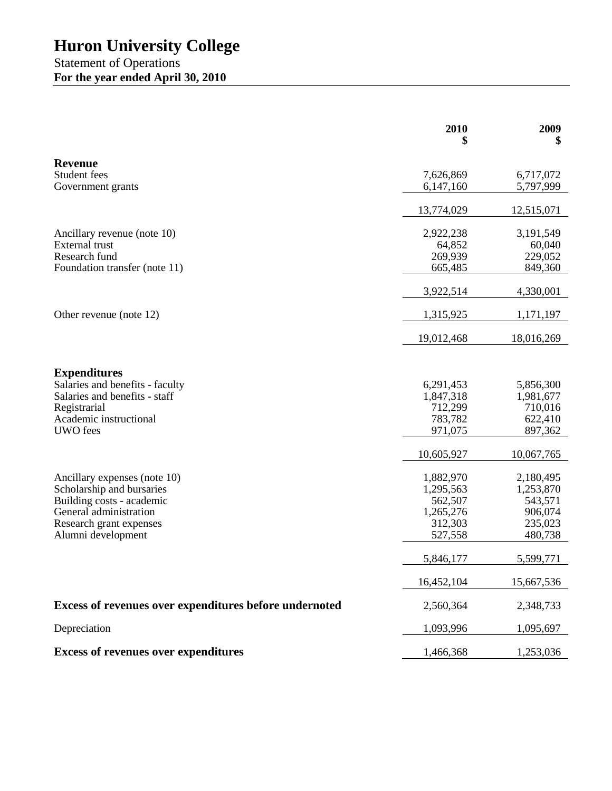### Statement of Operations **For the year ended April 30, 2010**

|                                                           | 2010<br>5  | 2009<br>\$ |
|-----------------------------------------------------------|------------|------------|
| <b>Revenue</b>                                            |            |            |
| Student fees                                              | 7,626,869  | 6,717,072  |
| Government grants                                         | 6,147,160  | 5,797,999  |
|                                                           | 13,774,029 | 12,515,071 |
| Ancillary revenue (note 10)                               | 2,922,238  | 3,191,549  |
| <b>External trust</b>                                     | 64,852     | 60,040     |
| Research fund                                             | 269,939    | 229,052    |
| Foundation transfer (note 11)                             | 665,485    | 849,360    |
|                                                           | 3,922,514  | 4,330,001  |
| Other revenue (note 12)                                   | 1,315,925  | 1,171,197  |
|                                                           | 19,012,468 | 18,016,269 |
|                                                           |            |            |
| <b>Expenditures</b><br>Salaries and benefits - faculty    | 6,291,453  | 5,856,300  |
| Salaries and benefits - staff                             | 1,847,318  | 1,981,677  |
| Registrarial                                              | 712,299    | 710,016    |
| Academic instructional                                    | 783,782    | 622,410    |
| <b>UWO</b> fees                                           | 971,075    | 897,362    |
|                                                           | 10,605,927 | 10,067,765 |
|                                                           | 1,882,970  | 2,180,495  |
| Ancillary expenses (note 10)<br>Scholarship and bursaries | 1,295,563  | 1,253,870  |
| Building costs - academic                                 | 562,507    | 543,571    |
| General administration                                    | 1,265,276  | 906,074    |
| Research grant expenses                                   | 312,303    | 235,023    |
| Alumni development                                        | 527,558    | 480,738    |
|                                                           | 5,846,177  | 5,599,771  |
|                                                           | 16,452,104 | 15,667,536 |
| Excess of revenues over expenditures before undernoted    | 2,560,364  | 2,348,733  |
| Depreciation                                              | 1,093,996  | 1,095,697  |
| <b>Excess of revenues over expenditures</b>               | 1,466,368  | 1,253,036  |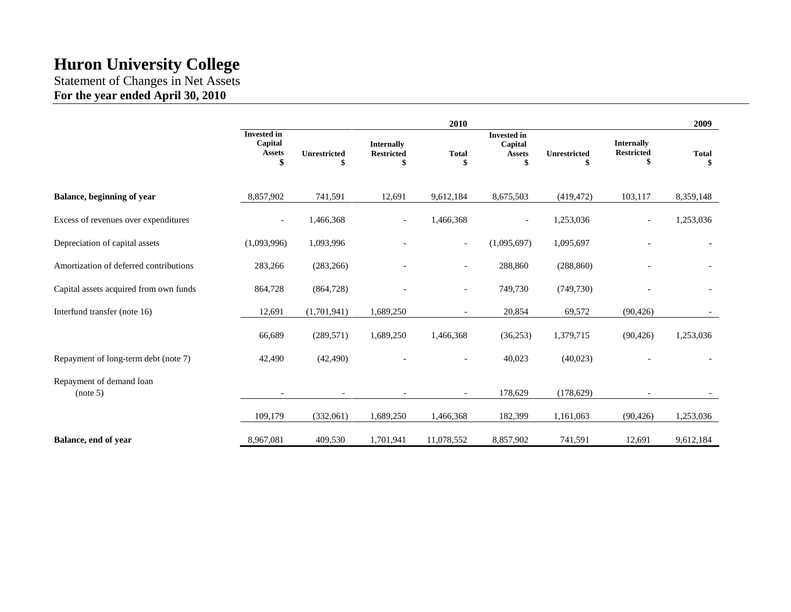Statement of Changes in Net Assets **For the year ended April 30, 2010**

|                                        |                                                      |                     |                                              | 2010                     |                                                      |                    |                                        | 2009         |
|----------------------------------------|------------------------------------------------------|---------------------|----------------------------------------------|--------------------------|------------------------------------------------------|--------------------|----------------------------------------|--------------|
|                                        | <b>Invested in</b><br>Capital<br><b>Assets</b><br>\$ | <b>Unrestricted</b> | <b>Internally</b><br><b>Restricted</b><br>\$ | <b>Total</b><br>S        | <b>Invested</b> in<br>Capital<br><b>Assets</b><br>\$ | Unrestricted<br>\$ | <b>Internally</b><br><b>Restricted</b> | <b>Total</b> |
| Balance, beginning of year             | 8,857,902                                            | 741,591             | 12,691                                       | 9,612,184                | 8,675,503                                            | (419, 472)         | 103,117                                | 8,359,148    |
| Excess of revenues over expenditures   | $\overline{\phantom{a}}$                             | 1,466,368           | $\overline{\phantom{a}}$                     | 1,466,368                | $\overline{\phantom{a}}$                             | 1,253,036          | $\overline{\phantom{a}}$               | 1,253,036    |
| Depreciation of capital assets         | (1,093,996)                                          | 1,093,996           |                                              | $\overline{\phantom{a}}$ | (1,095,697)                                          | 1,095,697          |                                        |              |
| Amortization of deferred contributions | 283,266                                              | (283, 266)          |                                              | $\overline{\phantom{a}}$ | 288,860                                              | (288, 860)         |                                        |              |
| Capital assets acquired from own funds | 864,728                                              | (864, 728)          |                                              | $\overline{\phantom{a}}$ | 749,730                                              | (749, 730)         |                                        |              |
| Interfund transfer (note 16)           | 12,691                                               | (1,701,941)         | 1,689,250                                    | $\overline{a}$           | 20,854                                               | 69,572             | (90, 426)                              |              |
|                                        | 66,689                                               | (289, 571)          | 1,689,250                                    | 1,466,368                | (36,253)                                             | 1,379,715          | (90, 426)                              | 1,253,036    |
| Repayment of long-term debt (note 7)   | 42,490                                               | (42, 490)           |                                              | $\overline{\phantom{a}}$ | 40,023                                               | (40,023)           |                                        |              |
| Repayment of demand loan<br>(note 5)   |                                                      |                     |                                              |                          | 178,629                                              | (178, 629)         |                                        |              |
|                                        | 109,179                                              | (332,061)           | 1,689,250                                    | 1,466,368                | 182,399                                              | 1,161,063          | (90, 426)                              | 1,253,036    |
| Balance, end of year                   | 8,967,081                                            | 409,530             | 1,701,941                                    | 11,078,552               | 8,857,902                                            | 741,591            | 12,691                                 | 9,612,184    |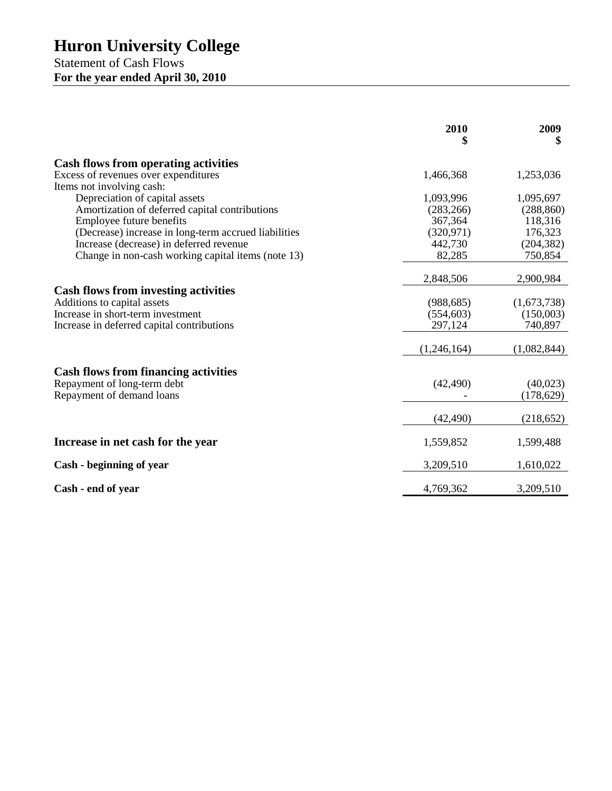Statement of Cash Flows **For the year ended April 30, 2010**

|                                                      | 2010<br>\$  | 2009<br>\$  |
|------------------------------------------------------|-------------|-------------|
| <b>Cash flows from operating activities</b>          |             |             |
| Excess of revenues over expenditures                 | 1,466,368   | 1,253,036   |
| Items not involving cash:                            |             |             |
| Depreciation of capital assets                       | 1,093,996   | 1,095,697   |
| Amortization of deferred capital contributions       | (283, 266)  | (288, 860)  |
| Employee future benefits                             | 367,364     | 118,316     |
| (Decrease) increase in long-term accrued liabilities | (320, 971)  | 176,323     |
| Increase (decrease) in deferred revenue              | 442,730     | (204, 382)  |
| Change in non-cash working capital items (note 13)   | 82,285      | 750,854     |
|                                                      | 2,848,506   | 2,900,984   |
| <b>Cash flows from investing activities</b>          |             |             |
| Additions to capital assets                          | (988, 685)  | (1,673,738) |
| Increase in short-term investment                    | (554, 603)  | (150,003)   |
| Increase in deferred capital contributions           | 297,124     | 740,897     |
|                                                      | (1,246,164) | (1,082,844) |
| <b>Cash flows from financing activities</b>          |             |             |
| Repayment of long-term debt                          | (42, 490)   | (40,023)    |
| Repayment of demand loans                            |             | (178, 629)  |
|                                                      | (42, 490)   | (218, 652)  |
|                                                      |             |             |
| Increase in net cash for the year                    | 1,559,852   | 1,599,488   |
| Cash - beginning of year                             | 3,209,510   | 1,610,022   |
| Cash - end of year                                   | 4,769,362   | 3,209,510   |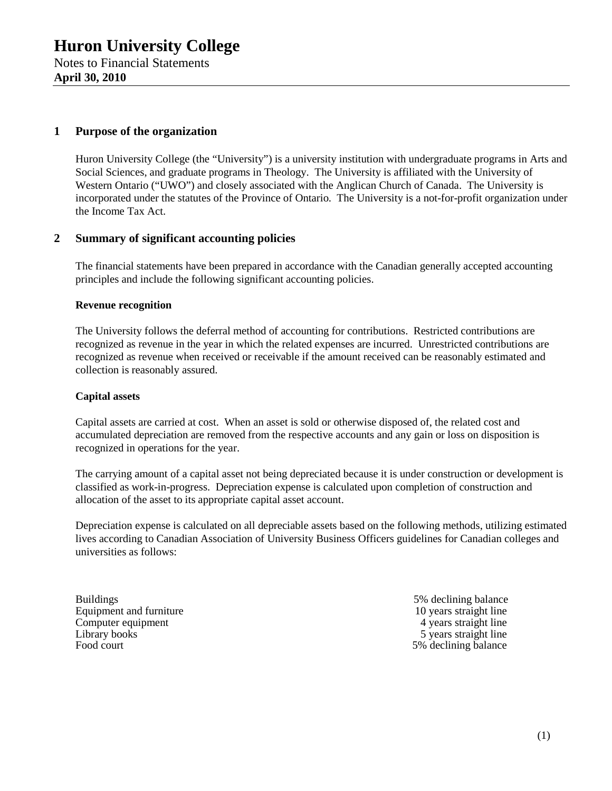### **1 Purpose of the organization**

Huron University College (the "University") is a university institution with undergraduate programs in Arts and Social Sciences, and graduate programs in Theology. The University is affiliated with the University of Western Ontario ("UWO") and closely associated with the Anglican Church of Canada. The University is incorporated under the statutes of the Province of Ontario. The University is a not-for-profit organization under the Income Tax Act.

#### **2 Summary of significant accounting policies**

The financial statements have been prepared in accordance with the Canadian generally accepted accounting principles and include the following significant accounting policies.

#### **Revenue recognition**

The University follows the deferral method of accounting for contributions. Restricted contributions are recognized as revenue in the year in which the related expenses are incurred. Unrestricted contributions are recognized as revenue when received or receivable if the amount received can be reasonably estimated and collection is reasonably assured.

#### **Capital assets**

Capital assets are carried at cost. When an asset is sold or otherwise disposed of, the related cost and accumulated depreciation are removed from the respective accounts and any gain or loss on disposition is recognized in operations for the year.

The carrying amount of a capital asset not being depreciated because it is under construction or development is classified as work-in-progress. Depreciation expense is calculated upon completion of construction and allocation of the asset to its appropriate capital asset account.

Depreciation expense is calculated on all depreciable assets based on the following methods, utilizing estimated lives according to Canadian Association of University Business Officers guidelines for Canadian colleges and universities as follows:

Buildings 5% declining balance<br>Equipment and furniture 10 years straight line Equipment and furniture 10 years straight line<br>
Computer equipment<br>  $\frac{10 \text{ years straight line}}{4 \text{ years straight line}}$ Computer equipment Library books 5 years straight line Food court 5% declining balance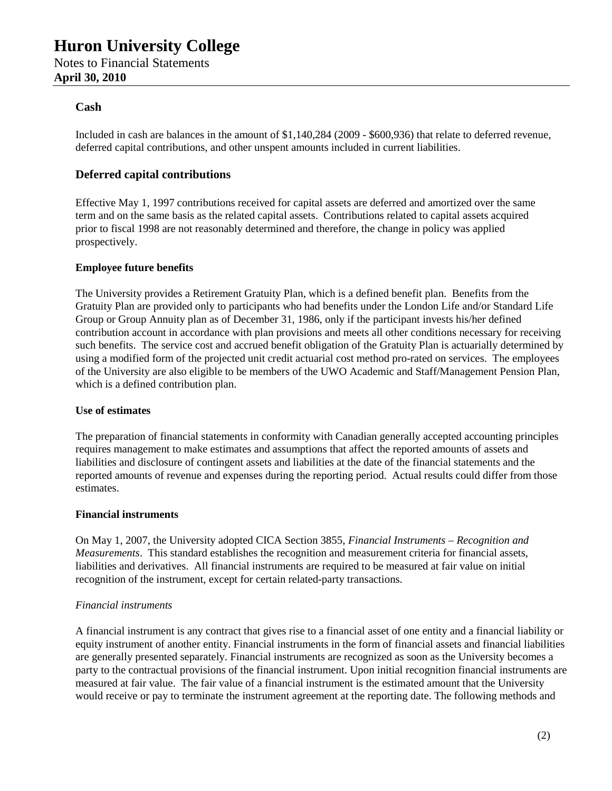#### **Cash**

Included in cash are balances in the amount of \$1,140,284 (2009 - \$600,936) that relate to deferred revenue, deferred capital contributions, and other unspent amounts included in current liabilities.

#### **Deferred capital contributions**

Effective May 1, 1997 contributions received for capital assets are deferred and amortized over the same term and on the same basis as the related capital assets. Contributions related to capital assets acquired prior to fiscal 1998 are not reasonably determined and therefore, the change in policy was applied prospectively.

#### **Employee future benefits**

The University provides a Retirement Gratuity Plan, which is a defined benefit plan. Benefits from the Gratuity Plan are provided only to participants who had benefits under the London Life and/or Standard Life Group or Group Annuity plan as of December 31, 1986, only if the participant invests his/her defined contribution account in accordance with plan provisions and meets all other conditions necessary for receiving such benefits. The service cost and accrued benefit obligation of the Gratuity Plan is actuarially determined by using a modified form of the projected unit credit actuarial cost method pro-rated on services. The employees of the University are also eligible to be members of the UWO Academic and Staff/Management Pension Plan, which is a defined contribution plan.

#### **Use of estimates**

The preparation of financial statements in conformity with Canadian generally accepted accounting principles requires management to make estimates and assumptions that affect the reported amounts of assets and liabilities and disclosure of contingent assets and liabilities at the date of the financial statements and the reported amounts of revenue and expenses during the reporting period. Actual results could differ from those estimates.

#### **Financial instruments**

On May 1, 2007, the University adopted CICA Section 3855, *Financial Instruments – Recognition and Measurements*. This standard establishes the recognition and measurement criteria for financial assets, liabilities and derivatives. All financial instruments are required to be measured at fair value on initial recognition of the instrument, except for certain related-party transactions.

#### *Financial instruments*

A financial instrument is any contract that gives rise to a financial asset of one entity and a financial liability or equity instrument of another entity. Financial instruments in the form of financial assets and financial liabilities are generally presented separately. Financial instruments are recognized as soon as the University becomes a party to the contractual provisions of the financial instrument. Upon initial recognition financial instruments are measured at fair value. The fair value of a financial instrument is the estimated amount that the University would receive or pay to terminate the instrument agreement at the reporting date. The following methods and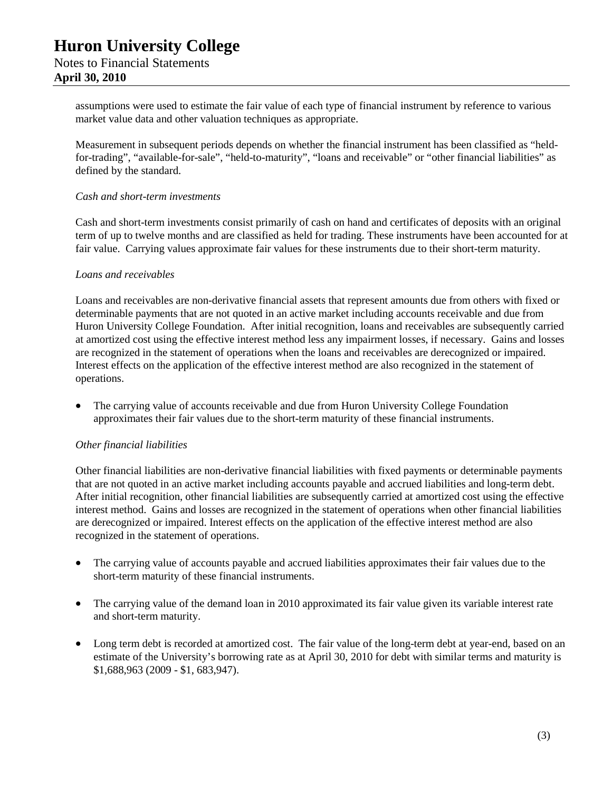assumptions were used to estimate the fair value of each type of financial instrument by reference to various market value data and other valuation techniques as appropriate.

Measurement in subsequent periods depends on whether the financial instrument has been classified as "heldfor-trading", "available-for-sale", "held-to-maturity", "loans and receivable" or "other financial liabilities" as defined by the standard.

#### *Cash and short-term investments*

Cash and short-term investments consist primarily of cash on hand and certificates of deposits with an original term of up to twelve months and are classified as held for trading. These instruments have been accounted for at fair value. Carrying values approximate fair values for these instruments due to their short-term maturity.

#### *Loans and receivables*

Loans and receivables are non-derivative financial assets that represent amounts due from others with fixed or determinable payments that are not quoted in an active market including accounts receivable and due from Huron University College Foundation. After initial recognition, loans and receivables are subsequently carried at amortized cost using the effective interest method less any impairment losses, if necessary. Gains and losses are recognized in the statement of operations when the loans and receivables are derecognized or impaired. Interest effects on the application of the effective interest method are also recognized in the statement of operations.

 The carrying value of accounts receivable and due from Huron University College Foundation approximates their fair values due to the short-term maturity of these financial instruments.

#### *Other financial liabilities*

Other financial liabilities are non-derivative financial liabilities with fixed payments or determinable payments that are not quoted in an active market including accounts payable and accrued liabilities and long-term debt. After initial recognition, other financial liabilities are subsequently carried at amortized cost using the effective interest method. Gains and losses are recognized in the statement of operations when other financial liabilities are derecognized or impaired. Interest effects on the application of the effective interest method are also recognized in the statement of operations.

- The carrying value of accounts payable and accrued liabilities approximates their fair values due to the short-term maturity of these financial instruments.
- The carrying value of the demand loan in 2010 approximated its fair value given its variable interest rate and short-term maturity.
- Long term debt is recorded at amortized cost. The fair value of the long-term debt at year-end, based on an estimate of the University's borrowing rate as at April 30, 2010 for debt with similar terms and maturity is \$1,688,963 (2009 - \$1, 683,947).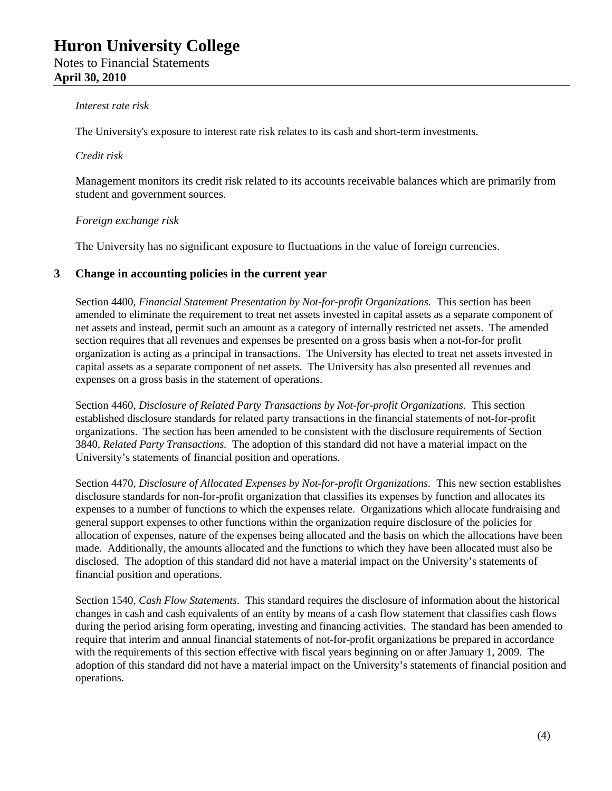#### *Interest rate risk*

The University's exposure to interest rate risk relates to its cash and short-term investments.

#### *Credit risk*

Management monitors its credit risk related to its accounts receivable balances which are primarily from student and government sources.

#### *Foreign exchange risk*

The University has no significant exposure to fluctuations in the value of foreign currencies*.*

#### **3 Change in accounting policies in the current year**

Section 4400, *Financial Statement Presentation by Not-for-profit Organizations.* This section has been amended to eliminate the requirement to treat net assets invested in capital assets as a separate component of net assets and instead, permit such an amount as a category of internally restricted net assets. The amended section requires that all revenues and expenses be presented on a gross basis when a not-for-for profit organization is acting as a principal in transactions. The University has elected to treat net assets invested in capital assets as a separate component of net assets. The University has also presented all revenues and expenses on a gross basis in the statement of operations.

Section 4460, *Disclosure of Related Party Transactions by Not-for-profit Organizations.* This section established disclosure standards for related party transactions in the financial statements of not-for-profit organizations. The section has been amended to be consistent with the disclosure requirements of Section 3840, *Related Party Transactions.* The adoption of this standard did not have a material impact on the University's statements of financial position and operations.

Section 4470, *Disclosure of Allocated Expenses by Not-for-profit Organizations.* This new section establishes disclosure standards for non-for-profit organization that classifies its expenses by function and allocates its expenses to a number of functions to which the expenses relate. Organizations which allocate fundraising and general support expenses to other functions within the organization require disclosure of the policies for allocation of expenses, nature of the expenses being allocated and the basis on which the allocations have been made. Additionally, the amounts allocated and the functions to which they have been allocated must also be disclosed. The adoption of this standard did not have a material impact on the University's statements of financial position and operations.

Section 1540, *Cash Flow Statements.* This standard requires the disclosure of information about the historical changes in cash and cash equivalents of an entity by means of a cash flow statement that classifies cash flows during the period arising form operating, investing and financing activities. The standard has been amended to require that interim and annual financial statements of not-for-profit organizations be prepared in accordance with the requirements of this section effective with fiscal years beginning on or after January 1, 2009. The adoption of this standard did not have a material impact on the University's statements of financial position and operations.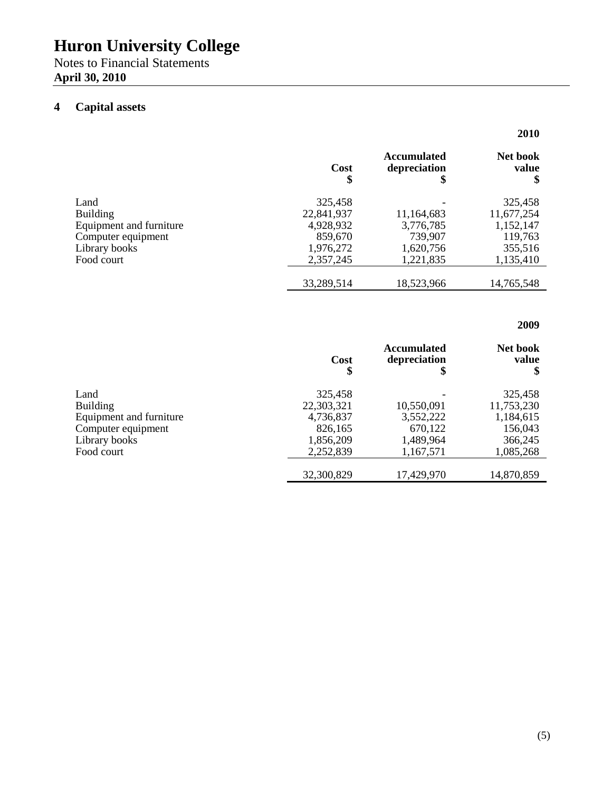Notes to Financial Statements **April 30, 2010**

## **4 Capital assets**

|                                | Cost<br>\$ | <b>Accumulated</b><br>depreciation<br>\$ | <b>Net book</b><br>value |
|--------------------------------|------------|------------------------------------------|--------------------------|
| Land                           | 325,458    |                                          | 325,458                  |
| <b>Building</b>                | 22,841,937 | 11,164,683                               | 11,677,254               |
| <b>Equipment and furniture</b> | 4,928,932  | 3,776,785                                | 1,152,147                |
| Computer equipment             | 859,670    | 739.907                                  | 119,763                  |
| Library books                  | 1,976,272  | 1,620,756                                | 355,516                  |
| Food court                     | 2,357,245  | 1,221,835                                | 1,135,410                |
|                                | 33,289,514 | 18,523,966                               | 14,765,548               |

### **2009**

**2010**

|                         | Cost<br>\$ | <b>Accumulated</b><br>depreciation<br>\$ | Net book<br>value |
|-------------------------|------------|------------------------------------------|-------------------|
| Land                    | 325,458    |                                          | 325,458           |
| <b>Building</b>         | 22,303,321 | 10,550,091                               | 11,753,230        |
| Equipment and furniture | 4,736,837  | 3,552,222                                | 1,184,615         |
| Computer equipment      | 826,165    | 670,122                                  | 156,043           |
| Library books           | 1,856,209  | 1,489,964                                | 366,245           |
| Food court              | 2,252,839  | 1,167,571                                | 1,085,268         |
|                         | 32,300,829 | 17,429,970                               | 14,870,859        |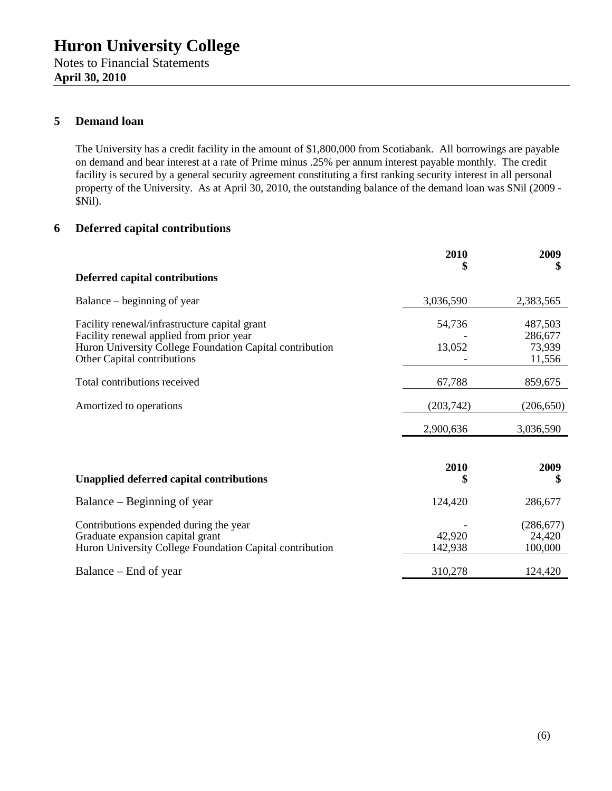Notes to Financial Statements **April 30, 2010**

### **5 Demand loan**

The University has a credit facility in the amount of \$1,800,000 from Scotiabank. All borrowings are payable on demand and bear interest at a rate of Prime minus .25% per annum interest payable monthly. The credit facility is secured by a general security agreement constituting a first ranking security interest in all personal property of the University. As at April 30, 2010, the outstanding balance of the demand loan was \$Nil (2009 - \$Nil).

## **6 Deferred capital contributions**

|                                                                                                                                                                                      | 2010<br>\$        | 2009<br>\$                             |
|--------------------------------------------------------------------------------------------------------------------------------------------------------------------------------------|-------------------|----------------------------------------|
| <b>Deferred capital contributions</b>                                                                                                                                                |                   |                                        |
| Balance – beginning of year                                                                                                                                                          | 3,036,590         | 2,383,565                              |
| Facility renewal/infrastructure capital grant<br>Facility renewal applied from prior year<br>Huron University College Foundation Capital contribution<br>Other Capital contributions | 54,736<br>13,052  | 487,503<br>286,677<br>73,939<br>11,556 |
| Total contributions received                                                                                                                                                         | 67,788            | 859,675                                |
| Amortized to operations                                                                                                                                                              | (203,742)         | (206, 650)                             |
|                                                                                                                                                                                      | 2,900,636         | 3,036,590                              |
| <b>Unapplied deferred capital contributions</b>                                                                                                                                      | 2010              | 2009<br>\$                             |
| Balance – Beginning of year                                                                                                                                                          | 124,420           | 286,677                                |
| Contributions expended during the year<br>Graduate expansion capital grant<br>Huron University College Foundation Capital contribution                                               | 42,920<br>142,938 | (286, 677)<br>24,420<br>100,000        |
| Balance – End of year                                                                                                                                                                | 310,278           | 124,420                                |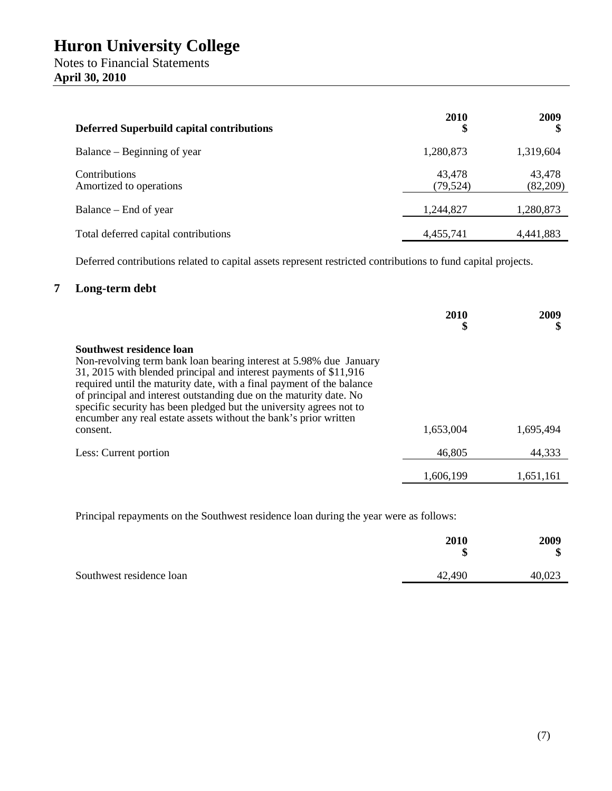| <b>Deferred Superbuild capital contributions</b> | 2010<br>\$          | 2009               |
|--------------------------------------------------|---------------------|--------------------|
| Balance – Beginning of year                      | 1,280,873           | 1,319,604          |
| Contributions<br>Amortized to operations         | 43,478<br>(79, 524) | 43,478<br>(82,209) |
| Balance – End of year                            | 1,244,827           | 1,280,873          |
| Total deferred capital contributions             | 4,455,741           | 4,441,883          |

Deferred contributions related to capital assets represent restricted contributions to fund capital projects.

### **7 Long-term debt**

|                                                                                                                                                                                                                                                                                                                                                                                                                                                                           | 2010<br>\$ | 2009<br>\$ |
|---------------------------------------------------------------------------------------------------------------------------------------------------------------------------------------------------------------------------------------------------------------------------------------------------------------------------------------------------------------------------------------------------------------------------------------------------------------------------|------------|------------|
| Southwest residence loan<br>Non-revolving term bank loan bearing interest at 5.98% due January<br>31, 2015 with blended principal and interest payments of \$11,916<br>required until the maturity date, with a final payment of the balance<br>of principal and interest outstanding due on the maturity date. No<br>specific security has been pledged but the university agrees not to<br>encumber any real estate assets without the bank's prior written<br>consent. | 1,653,004  | 1,695,494  |
| Less: Current portion                                                                                                                                                                                                                                                                                                                                                                                                                                                     | 46,805     | 44,333     |
|                                                                                                                                                                                                                                                                                                                                                                                                                                                                           | 1,606,199  | 1.651.161  |

Principal repayments on the Southwest residence loan during the year were as follows:

|                          | 2010<br>\$ | 2009<br>Φ<br>ง |
|--------------------------|------------|----------------|
| Southwest residence loan | 42,490     | 40,023         |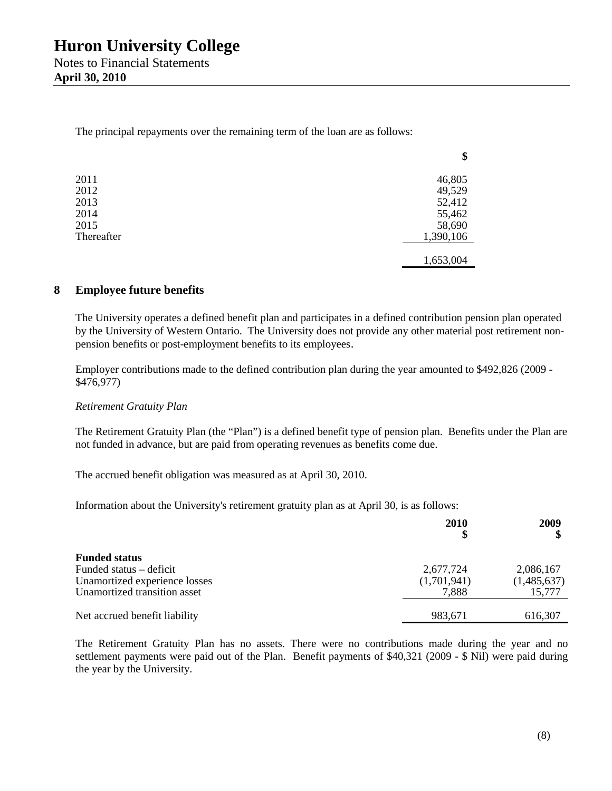The principal repayments over the remaining term of the loan are as follows:

|            | Ψ         |
|------------|-----------|
| 2011       | 46,805    |
| 2012       | 49,529    |
| 2013       | 52,412    |
| 2014       | 55,462    |
| 2015       | 58,690    |
| Thereafter | 1,390,106 |
|            |           |
|            | 1,653,004 |

#### **8 Employee future benefits**

The University operates a defined benefit plan and participates in a defined contribution pension plan operated by the University of Western Ontario. The University does not provide any other material post retirement nonpension benefits or post-employment benefits to its employees.

**\$**

Employer contributions made to the defined contribution plan during the year amounted to \$492,826 (2009 - \$476,977)

#### *Retirement Gratuity Plan*

The Retirement Gratuity Plan (the "Plan") is a defined benefit type of pension plan. Benefits under the Plan are not funded in advance, but are paid from operating revenues as benefits come due.

The accrued benefit obligation was measured as at April 30, 2010.

Information about the University's retirement gratuity plan as at April 30, is as follows:

|                               | <b>2010</b> | 2009        |
|-------------------------------|-------------|-------------|
| <b>Funded status</b>          |             |             |
| Funded status – deficit       | 2,677,724   | 2,086,167   |
| Unamortized experience losses | (1,701,941) | (1,485,637) |
| Unamortized transition asset  | 7,888       | 15,777      |
| Net accrued benefit liability | 983,671     | 616,307     |

The Retirement Gratuity Plan has no assets. There were no contributions made during the year and no settlement payments were paid out of the Plan. Benefit payments of \$40,321 (2009 - \$ Nil) were paid during the year by the University.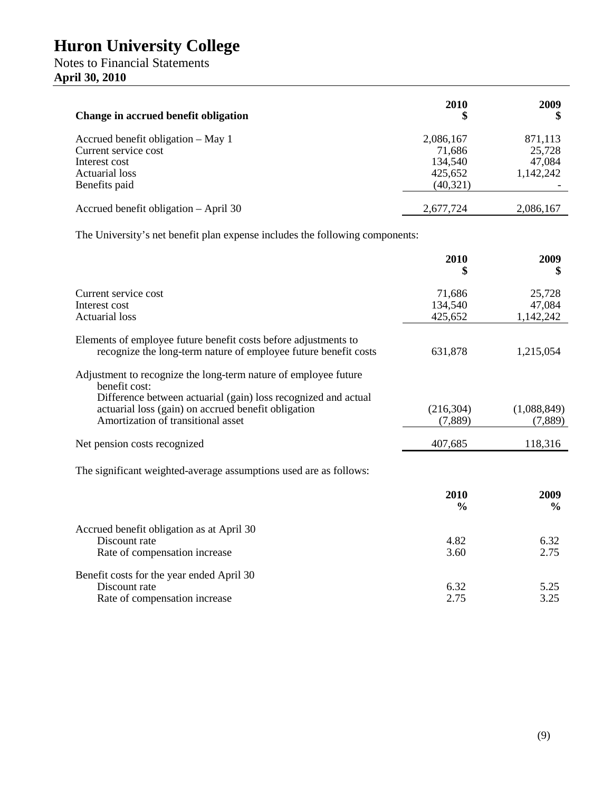## Notes to Financial Statements **April 30, 2010**

| Change in accrued benefit obligation  | 2010      | 2009      |
|---------------------------------------|-----------|-----------|
| Accrued benefit obligation – May 1    | 2,086,167 | 871,113   |
| Current service cost                  | 71,686    | 25,728    |
| Interest cost                         | 134,540   | 47,084    |
| Actuarial loss                        | 425,652   | 1,142,242 |
| Benefits paid                         | (40, 321) |           |
| Accrued benefit obligation – April 30 | 2,677,724 | 2,086,167 |

The University's net benefit plan expense includes the following components:

|                                                                                                                                    | 2010<br>\$    | 2009<br>\$    |
|------------------------------------------------------------------------------------------------------------------------------------|---------------|---------------|
| Current service cost                                                                                                               | 71,686        | 25,728        |
| Interest cost                                                                                                                      | 134,540       | 47,084        |
| <b>Actuarial loss</b>                                                                                                              | 425,652       | 1,142,242     |
| Elements of employee future benefit costs before adjustments to<br>recognize the long-term nature of employee future benefit costs | 631,878       | 1,215,054     |
| Adjustment to recognize the long-term nature of employee future<br>benefit cost:                                                   |               |               |
| Difference between actuarial (gain) loss recognized and actual                                                                     |               |               |
| actuarial loss (gain) on accrued benefit obligation                                                                                | (216, 304)    | (1,088,849)   |
| Amortization of transitional asset                                                                                                 | (7,889)       | (7,889)       |
| Net pension costs recognized                                                                                                       | 407,685       | 118,316       |
| The significant weighted-average assumptions used are as follows:                                                                  |               |               |
|                                                                                                                                    | 2010          | 2009          |
|                                                                                                                                    | $\frac{6}{9}$ | $\frac{6}{9}$ |
| Accrued benefit obligation as at April 30                                                                                          |               |               |
| Discount rate                                                                                                                      | 4.82          | 6.32          |
| Rate of compensation increase                                                                                                      | 3.60          | 2.75          |
| Benefit costs for the year ended April 30                                                                                          |               |               |
| Discount rate                                                                                                                      | 6.32          | 5.25          |
| Rate of compensation increase                                                                                                      | 2.75          | 3.25          |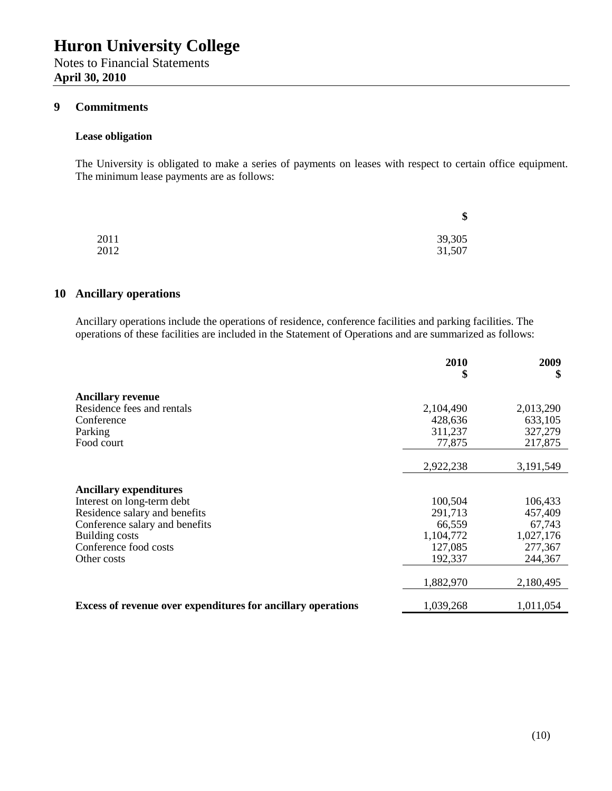Notes to Financial Statements **April 30, 2010**

#### **9 Commitments**

#### **Lease obligation**

The University is obligated to make a series of payments on leases with respect to certain office equipment. The minimum lease payments are as follows:

|      | Φ<br>ъ |
|------|--------|
| 2011 | 39,305 |
| 2012 | 31,507 |

#### **10 Ancillary operations**

Ancillary operations include the operations of residence, conference facilities and parking facilities. The operations of these facilities are included in the Statement of Operations and are summarized as follows:

|                                                              | 2010<br>\$ | 2009<br>\$ |
|--------------------------------------------------------------|------------|------------|
| <b>Ancillary revenue</b>                                     |            |            |
| Residence fees and rentals                                   | 2,104,490  | 2,013,290  |
| Conference                                                   | 428,636    | 633,105    |
| Parking                                                      | 311,237    | 327,279    |
| Food court                                                   | 77,875     | 217,875    |
|                                                              |            |            |
|                                                              | 2,922,238  | 3,191,549  |
|                                                              |            |            |
| <b>Ancillary expenditures</b>                                |            |            |
| Interest on long-term debt                                   | 100,504    | 106,433    |
| Residence salary and benefits                                | 291,713    | 457,409    |
| Conference salary and benefits                               | 66,559     | 67,743     |
| <b>Building costs</b>                                        | 1,104,772  | 1,027,176  |
| Conference food costs                                        | 127,085    | 277,367    |
| Other costs                                                  | 192,337    | 244,367    |
|                                                              | 1,882,970  | 2,180,495  |
| Excess of revenue over expenditures for ancillary operations | 1,039,268  | 1,011,054  |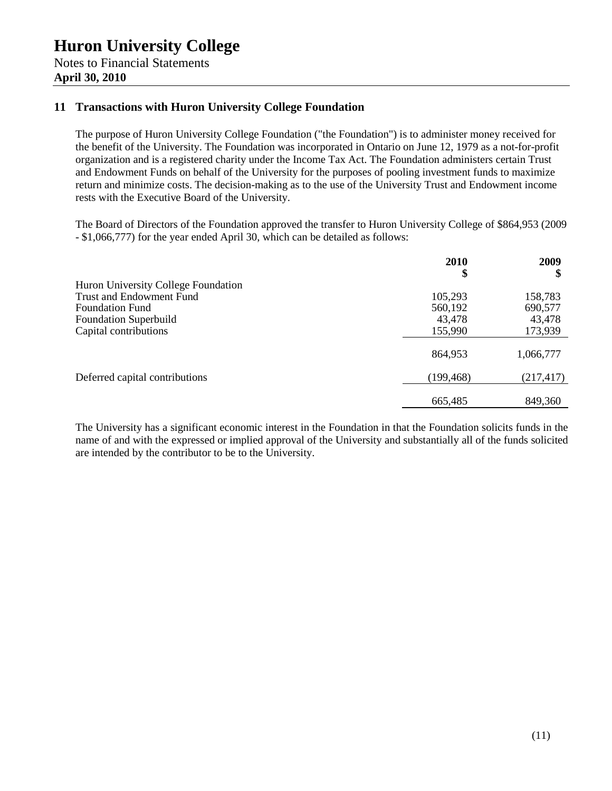**April 30, 2010**

### **11 Transactions with Huron University College Foundation**

The purpose of Huron University College Foundation ("the Foundation") is to administer money received for the benefit of the University. The Foundation was incorporated in Ontario on June 12, 1979 as a not-for-profit organization and is a registered charity under the Income Tax Act. The Foundation administers certain Trust and Endowment Funds on behalf of the University for the purposes of pooling investment funds to maximize return and minimize costs. The decision-making as to the use of the University Trust and Endowment income rests with the Executive Board of the University.

The Board of Directors of the Foundation approved the transfer to Huron University College of \$864,953 (2009 - \$1,066,777) for the year ended April 30, which can be detailed as follows:

|                                     | <b>2010</b><br>\$ | 2009<br>\$ |
|-------------------------------------|-------------------|------------|
| Huron University College Foundation |                   |            |
| <b>Trust and Endowment Fund</b>     | 105,293           | 158,783    |
| <b>Foundation Fund</b>              | 560,192           | 690,577    |
| <b>Foundation Superbuild</b>        | 43,478            | 43,478     |
| Capital contributions               | 155,990           | 173,939    |
|                                     | 864,953           | 1,066,777  |
| Deferred capital contributions      | (199, 468)        | (217, 417) |
|                                     | 665,485           | 849,360    |

The University has a significant economic interest in the Foundation in that the Foundation solicits funds in the name of and with the expressed or implied approval of the University and substantially all of the funds solicited are intended by the contributor to be to the University.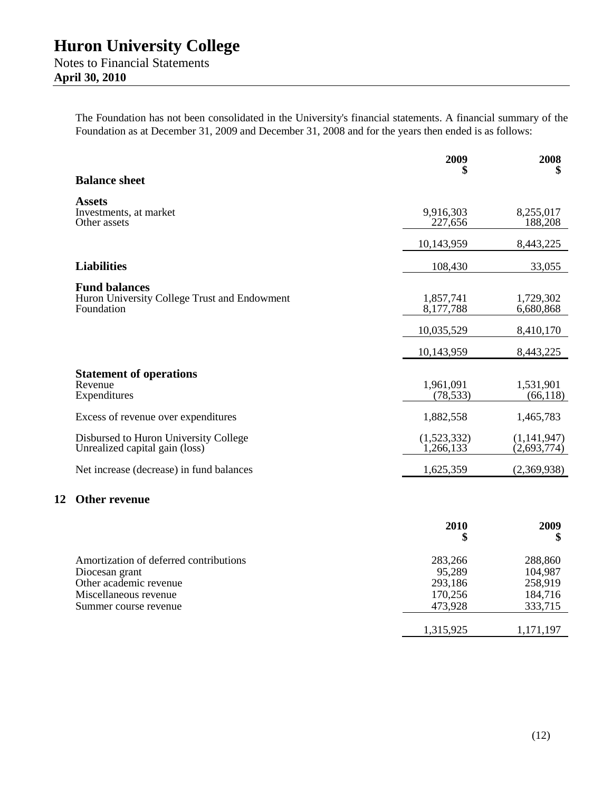**April 30, 2010**

**12 Other revenue**

The Foundation has not been consolidated in the University's financial statements. A financial summary of the Foundation as at December 31, 2009 and December 31, 2008 and for the years then ended is as follows:

|                                                                                                                                      | 2009<br>\$                                         | 2008<br>\$                                          |
|--------------------------------------------------------------------------------------------------------------------------------------|----------------------------------------------------|-----------------------------------------------------|
| <b>Balance sheet</b>                                                                                                                 |                                                    |                                                     |
| <b>Assets</b><br>Investments, at market<br>Other assets                                                                              | 9,916,303<br>227,656                               | 8,255,017<br>188,208                                |
|                                                                                                                                      | 10,143,959                                         | 8,443,225                                           |
| <b>Liabilities</b>                                                                                                                   | 108,430                                            | 33,055                                              |
| <b>Fund balances</b><br>Huron University College Trust and Endowment<br>Foundation                                                   | 1,857,741<br>8,177,788                             | 1,729,302<br>6,680,868                              |
|                                                                                                                                      | 10,035,529                                         | 8,410,170                                           |
|                                                                                                                                      | 10,143,959                                         | 8,443,225                                           |
| <b>Statement of operations</b><br>Revenue<br>Expenditures                                                                            | 1,961,091<br>(78, 533)                             | 1,531,901<br>(66, 118)                              |
| Excess of revenue over expenditures                                                                                                  | 1,882,558                                          | 1,465,783                                           |
| Disbursed to Huron University College<br>Unrealized capital gain (loss)                                                              | (1,523,332)<br>1,266,133                           | (1, 141, 947)<br>(2,693,774)                        |
| Net increase (decrease) in fund balances                                                                                             | 1,625,359                                          | (2,369,938)                                         |
| <b>Other revenue</b>                                                                                                                 |                                                    |                                                     |
|                                                                                                                                      | 2010<br>\$                                         | 2009<br>\$                                          |
| Amortization of deferred contributions<br>Diocesan grant<br>Other academic revenue<br>Miscellaneous revenue<br>Summer course revenue | 283,266<br>95,289<br>293,186<br>170,256<br>473,928 | 288,860<br>104,987<br>258,919<br>184,716<br>333,715 |
|                                                                                                                                      | 1,315,925                                          | 1,171,197                                           |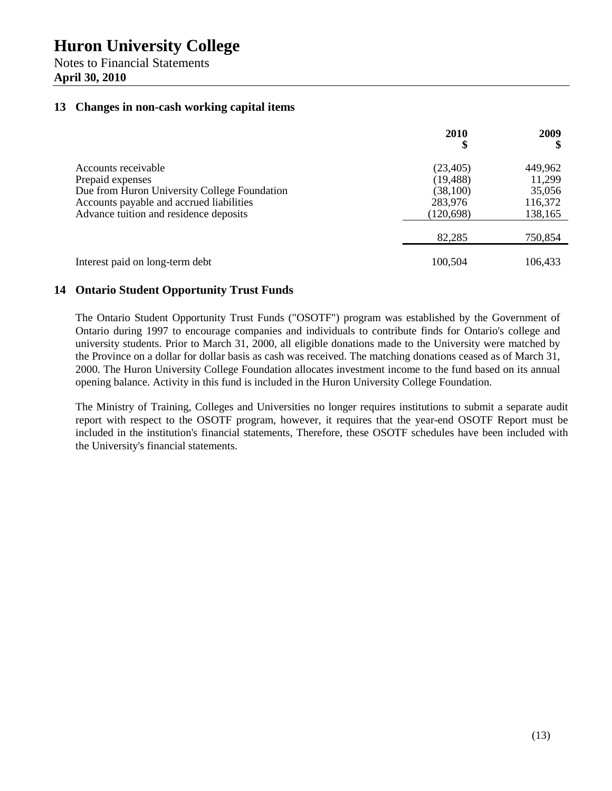Notes to Financial Statements **April 30, 2010**

#### **13 Changes in non-cash working capital items**

|                                                                                                                                                                               | 2010<br>\$                                                 | 2009<br>\$                                        |
|-------------------------------------------------------------------------------------------------------------------------------------------------------------------------------|------------------------------------------------------------|---------------------------------------------------|
| Accounts receivable<br>Prepaid expenses<br>Due from Huron University College Foundation<br>Accounts payable and accrued liabilities<br>Advance tuition and residence deposits | (23, 405)<br>(19, 488)<br>(38,100)<br>283,976<br>(120,698) | 449,962<br>11,299<br>35,056<br>116,372<br>138,165 |
|                                                                                                                                                                               | 82,285                                                     | 750,854                                           |
| Interest paid on long-term debt                                                                                                                                               | 100,504                                                    | 106,433                                           |

#### **14 Ontario Student Opportunity Trust Funds**

The Ontario Student Opportunity Trust Funds ("OSOTF") program was established by the Government of Ontario during 1997 to encourage companies and individuals to contribute finds for Ontario's college and university students. Prior to March 31, 2000, all eligible donations made to the University were matched by the Province on a dollar for dollar basis as cash was received. The matching donations ceased as of March 31, 2000. The Huron University College Foundation allocates investment income to the fund based on its annual opening balance. Activity in this fund is included in the Huron University College Foundation.

The Ministry of Training, Colleges and Universities no longer requires institutions to submit a separate audit report with respect to the OSOTF program, however, it requires that the year-end OSOTF Report must be included in the institution's financial statements, Therefore, these OSOTF schedules have been included with the University's financial statements.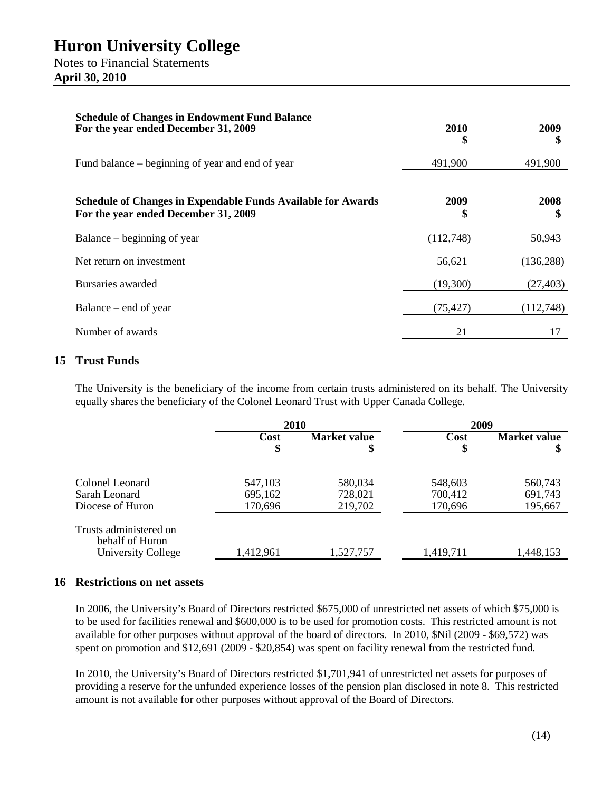**April 30, 2010**

| <b>Schedule of Changes in Endowment Fund Balance</b><br>For the year ended December 31, 2009                | 2010<br>Φ  | 2009<br>ъ  |
|-------------------------------------------------------------------------------------------------------------|------------|------------|
| Fund balance – beginning of year and end of year                                                            | 491,900    | 491,900    |
| <b>Schedule of Changes in Expendable Funds Available for Awards</b><br>For the year ended December 31, 2009 | 2009<br>\$ | 2008       |
| Balance – beginning of year                                                                                 | (112,748)  | 50,943     |
| Net return on investment                                                                                    | 56,621     | (136, 288) |
| Bursaries awarded                                                                                           | (19,300)   | (27, 403)  |
| Balance – end of year                                                                                       | (75, 427)  | (112,748)  |
| Number of awards                                                                                            | 21         | 17         |

#### **15 Trust Funds**

The University is the beneficiary of the income from certain trusts administered on its behalf. The University equally shares the beneficiary of the Colonel Leonard Trust with Upper Canada College.

|                                                                 | 2010      |                     | 2009      |                     |
|-----------------------------------------------------------------|-----------|---------------------|-----------|---------------------|
|                                                                 | Cost      | <b>Market value</b> | Cost      | <b>Market value</b> |
|                                                                 | \$        | \$                  | \$        | \$                  |
| Colonel Leonard                                                 | 547,103   | 580,034             | 548,603   | 560,743             |
| Sarah Leonard                                                   | 695,162   | 728,021             | 700,412   | 691,743             |
| Diocese of Huron                                                | 170,696   | 219,702             | 170,696   | 195,667             |
| Trusts administered on<br>behalf of Huron<br>University College | 1,412,961 | 1,527,757           | 1,419,711 | 1,448,153           |

#### **16 Restrictions on net assets**

In 2006, the University's Board of Directors restricted \$675,000 of unrestricted net assets of which \$75,000 is to be used for facilities renewal and \$600,000 is to be used for promotion costs. This restricted amount is not available for other purposes without approval of the board of directors. In 2010, \$Nil (2009 - \$69,572) was spent on promotion and \$12,691 (2009 - \$20,854) was spent on facility renewal from the restricted fund.

In 2010, the University's Board of Directors restricted \$1,701,941 of unrestricted net assets for purposes of providing a reserve for the unfunded experience losses of the pension plan disclosed in note 8. This restricted amount is not available for other purposes without approval of the Board of Directors.